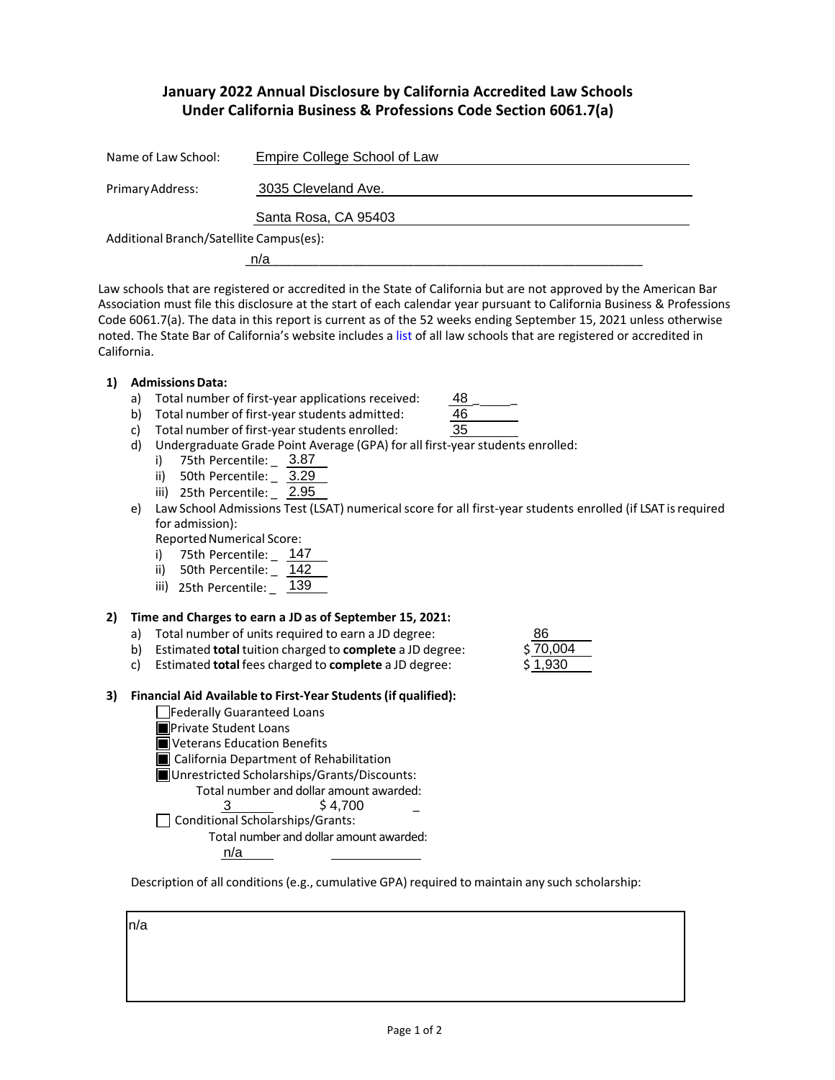# **January 2022 Annual Disclosure by California Accredited Law Schools Under California Business & Professions Code Section 6061.7(a)**

| Name of Law School:                     | Empire College School of Law |  |  |
|-----------------------------------------|------------------------------|--|--|
| Primary Address:                        | 3035 Cleveland Ave.          |  |  |
|                                         | Santa Rosa, CA 95403         |  |  |
| Additional Branch/Satellite Campus(es): |                              |  |  |
|                                         | n/a                          |  |  |

Law schools that are registered or accredited in the State of California but are not approved by the American Bar Association must file this disclosure at the start of each calendar year pursuant to California Business & Professions Code 6061.7(a). The data in this report is current as of the 52 weeks ending September 15, 2021 unless otherwise noted. The State Bar of California's website includes a [list](http://www.calbar.ca.gov/Admissions/Law-School-Regulation/Law-Schools) of all law schools that are registered or accredited in California.

- **1) AdmissionsData:**
	- a) Total number of first-year applications received:
	- b) Total number of first-year students admitted:

8670,004 1,930

48

- c) Total number of first-year students enrolled: d) Undergraduate Grade Point Average (GPA) for all first-year students enrolled:
	- i) 75th Percentile: \_ 3.87
	- ii) 50th Percentile: \_ 3.29
	- iii) 25th Percentile: \_ 2.95
- e) Law School Admissions Test (LSAT) numerical score for all first-year students enrolled (if LSAT is required for admission):

Reported Numerical Score:

- i) 75th Percentile: \_ 147
- ii) 50th Percentile: \_ 142
- iii) 25th Percentile: \_ 139

# **2) Time and Charges to earn a JD as of September 15, 2021:**

- a) Total number of units required to earn a JD degree:
- b) Estimated **total** tuition charged to **complete** a JD degree: \$
- c) Estimated **total** fees charged to **complete** a JD degree: \$
- **3) Financial Aid Available to First-Year Students(if qualified):**
	- Federally Guaranteed Loans
		- **Private Student Loans**
		- **N** Veterans Education Benefits
		- **California Department of Rehabilitation**
		- Unrestricted Scholarships/Grants/Discounts:
			- Total number and dollar amount awarded:
				- $\frac{3}{54,700}$   $\frac{1}{54}$
		- $\Box$  Conditional Scholarships/Grants:
			- Total number and dollar amount awarded:

n/a

Description of all conditions (e.g., cumulative GPA) required to maintain any such scholarship:

n/a